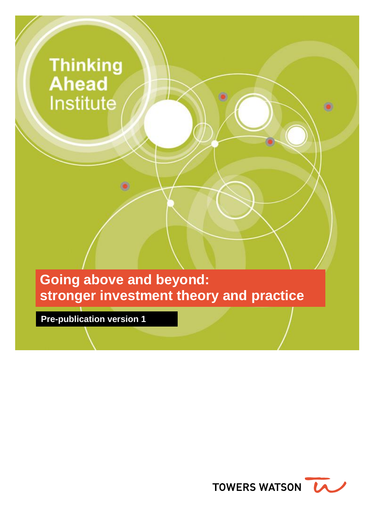# **Thinking Ahead** Institute

**Going above and beyond: stronger investment theory and practice**

**Pre-publication version 1**

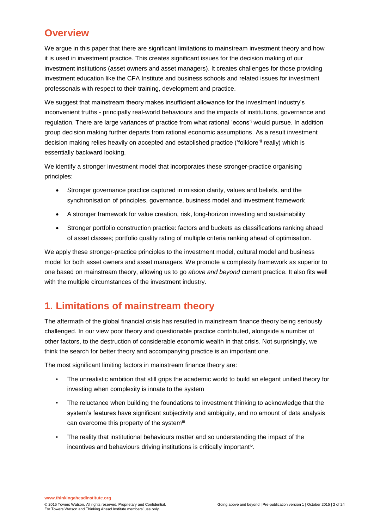# **Overview**

We argue in this paper that there are significant limitations to mainstream investment theory and how it is used in investment practice. This creates significant issues for the decision making of our investment institutions (asset owners and asset managers). It creates challenges for those providing investment education like the CFA Institute and business schools and related issues for investment professonals with respect to their training, development and practice.

We suggest that mainstream theory makes insufficient allowance for the investment industry's inconvenient truths - principally real-world behaviours and the impacts of institutions, governance and regulation. There are large variances of practice from what rational 'econs'<sup>i</sup> would pursue. In addition group decision making further departs from rational economic assumptions. As a result investment decision making relies heavily on accepted and established practice ('folklore'ii really) which is essentially backward looking.

We identify a stronger investment model that incorporates these stronger-practice organising principles:

- Stronger governance practice captured in mission clarity, values and beliefs, and the synchronisation of principles, governance, business model and investment framework
- A stronger framework for value creation, risk, long-horizon investing and sustainability
- Stronger portfolio construction practice: factors and buckets as classifications ranking ahead of asset classes; portfolio quality rating of multiple criteria ranking ahead of optimisation.

We apply these stronger-practice principles to the investment model, cultural model and business model for both asset owners and asset managers. We promote a complexity framework as superior to one based on mainstream theory, allowing us to go *above and beyond* current practice. It also fits well with the multiple circumstances of the investment industry.

# **1. Limitations of mainstream theory**

The aftermath of the global financial crisis has resulted in mainstream finance theory being seriously challenged. In our view poor theory and questionable practice contributed, alongside a number of other factors, to the destruction of considerable economic wealth in that crisis. Not surprisingly, we think the search for better theory and accompanying practice is an important one.

The most significant limiting factors in mainstream finance theory are:

- The unrealistic ambition that still grips the academic world to build an elegant unified theory for investing when complexity is innate to the system
- The reluctance when building the foundations to investment thinking to acknowledge that the system's features have significant subjectivity and ambiguity, and no amount of data analysis can overcome this property of the systemiii
- The reality that institutional behaviours matter and so understanding the impact of the incentives and behaviours driving institutions is critically importantiv.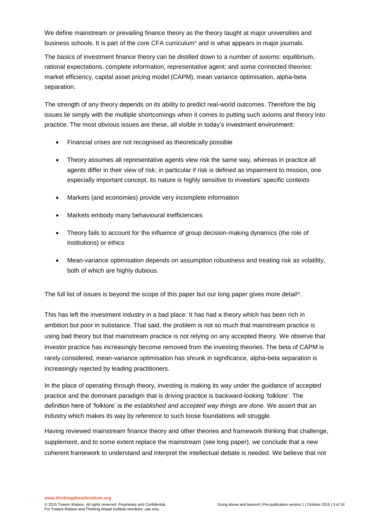We define mainstream or prevailing finance theory as the theory taught at major universities and business schools. It is part of the core CFA curriculum<sup>y</sup> and is what appears in major journals.

The basics of investment finance theory can be distilled down to a number of axioms: equilibrium, rational expectations, complete information, representative agent; and some connected theories: market efficiency, capital asset pricing model (CAPM), mean variance optimisation, alpha-beta separation.

The strength of any theory depends on its ability to predict real-world outcomes. Therefore the big issues lie simply with the multiple shortcomings when it comes to putting such axioms and theory into practice. The most obvious issues are these, all visible in today's investment environment:

- Financial crises are not recognised as theoretically possible
- Theory assumes all representative agents view risk the same way, whereas in practice all agents differ in their view of risk; in particular if risk is defined as impairment to mission, one especially important concept, its nature is highly sensitive to investors' specific contexts
- Markets (and economies) provide very incomplete information
- Markets embody many behavioural inefficiencies
- Theory fails to account for the influence of group decision-making dynamics (the role of institutions) or ethics
- Mean-variance optimisation depends on assumption robustness and treating risk as volatility, both of which are highly dubious.

The full list of issues is beyond the scope of this paper but our long paper gives more detail<sup>vi</sup>.

This has left the investment industry in a bad place. It has had a theory which has been rich in ambition but poor in substance. That said, the problem is not so much that mainstream practice is using bad theory but that mainstream practice is not relying on any accepted theory. We observe that investor practice has increasingly become removed from the investing theories. The beta of CAPM is rarely considered, mean-variance optimisation has shrunk in significance, alpha-beta separation is increasingly rejected by leading practitioners.

In the place of operating through theory, investing is making its way under the guidance of accepted practice and the dominant paradigm that is driving practice is backward-looking 'folklore'. The definition here of 'folklore' is *the established and accepted way things are done.* We assert that an industry which makes its way by reference to such loose foundations will struggle.

Having reviewed mainstream finance theory and other theories and framework thinking that challenge, supplement, and to some extent replace the mainstream (see long paper), we conclude that a new coherent framework to understand and interpret the intellectual debate is needed. We believe that not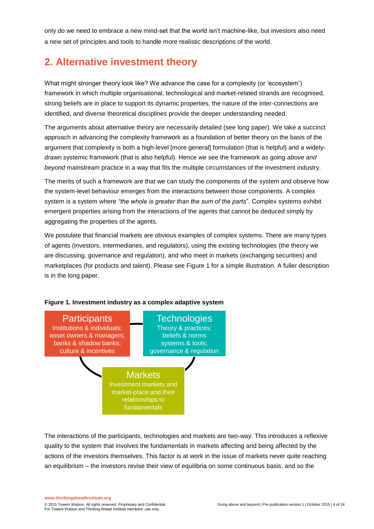only do we need to embrace a new mind-set that the world isn't machine-like, but investors also need a new set of principles and tools to handle more realistic descriptions of the world.

# **2. Alternative investment theory**

What might stronger theory look like? We advance the case for a complexity (or 'ecosystem') framework in which multiple organisational, technological and market-related strands are recognised, strong beliefs are in place to support its dynamic properties, the nature of the inter-connections are identified, and diverse theoretical disciplines provide the deeper understanding needed.

The arguments about alternative theory are necessarily detailed (see long paper). We take a succinct approach in advancing the complexity framework as a foundation of better theory on the basis of the argument that complexity is both a high-level [more general] formulation (that is helpful) and a widelydrawn systemic framework (that is also helpful). Hence we see the framework as going *above and beyond* mainstream practice in a way that fits the multiple circumstances of the investment industry.

The merits of such a framework are that we can study the components of the system and observe how the system-level behaviour emerges from the interactions between those components. A complex system is a system where *"the whole is greater than the sum of the parts*". Complex systems exhibit emergent properties arising from the interactions of the agents that cannot be deduced simply by aggregating the properties of the agents.

We postulate that financial markets are obvious examples of complex systems. There are many types of agents (investors, intermediaries, and regulators), using the existing technologies (the theory we are discussing, governance and regulation), and who meet in markets (exchanging securities) and marketplaces (for products and talent). Please see Figure 1 for a simple illustration. A fuller description is in the long paper.



#### **Figure 1. Investment industry as a complex adaptive system**

The interactions of the participants, technologies and markets are two-way. This introduces a reflexive quality to the system that involves the fundamentals in markets affecting and being affected by the actions of the investors themselves. This factor is at work in the issue of markets never quite reaching an equilibrium – the investors revise their view of equilibria on some continuous basis, and so the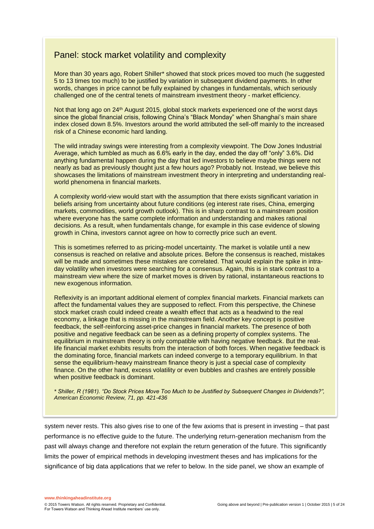### Panel: stock market volatility and complexity

More than 30 years ago, Robert Shiller\* showed that stock prices moved too much (he suggested 5 to 13 times too much) to be justified by variation in subsequent dividend payments. In other words, changes in price cannot be fully explained by changes in fundamentals, which seriously challenged one of the central tenets of mainstream investment theory - market efficiency.

Not that long ago on 24<sup>th</sup> August 2015, global stock markets experienced one of the worst days since the global financial crisis, following China's "Black Monday" when Shanghai's main share index closed down 8.5%. Investors around the world attributed the sell-off mainly to the increased risk of a Chinese economic hard landing.

The wild intraday swings were interesting from a complexity viewpoint. The Dow Jones Industrial Average, which tumbled as much as 6.6% early in the day, ended the day off "only" 3.6%. Did anything fundamental happen during the day that led investors to believe maybe things were not nearly as bad as previously thought just a few hours ago? Probably not. Instead, we believe this showcases the limitations of mainstream investment theory in interpreting and understanding realworld phenomena in financial markets.

A complexity world-view would start with the assumption that there exists significant variation in beliefs arising from uncertainty about future conditions (eg interest rate rises, China, emerging markets, commodities, world growth outlook). This is in sharp contrast to a mainstream position where everyone has the same complete information and understanding and makes rational decisions. As a result, when fundamentals change, for example in this case evidence of slowing growth in China, investors cannot agree on how to correctly price such an event.

This is sometimes referred to as pricing-model uncertainty. The market is volatile until a new consensus is reached on relative and absolute prices. Before the consensus is reached, mistakes will be made and sometimes these mistakes are correlated. That would explain the spike in intraday volatility when investors were searching for a consensus. Again, this is in stark contrast to a mainstream view where the size of market moves is driven by rational, instantaneous reactions to new exogenous information.

Reflexivity is an important additional element of complex financial markets. Financial markets can affect the fundamental values they are supposed to reflect. From this perspective, the Chinese stock market crash could indeed create a wealth effect that acts as a headwind to the real economy, a linkage that is missing in the mainstream field. Another key concept is positive feedback, the self-reinforcing asset-price changes in financial markets. The presence of both positive and negative feedback can be seen as a defining property of complex systems. The equilibrium in mainstream theory is only compatible with having negative feedback. But the reallife financial market exhibits results from the interaction of both forces. When negative feedback is the dominating force, financial markets can indeed converge to a temporary equilibrium. In that sense the equilibrium-heavy mainstream finance theory is just a special case of complexity finance. On the other hand, excess volatility or even bubbles and crashes are entirely possible when positive feedback is dominant.

*\* Shiller, R (1981). "Do Stock Prices Move Too Much to be Justified by Subsequent Changes in Dividends?", American Economic Review, 71, pp. 421-436*

system never rests. This also gives rise to one of the few axioms that is present in investing – that past performance is no effective guide to the future. The underlying return-generation mechanism from the past will always change and therefore not explain the return generation of the future. This significantly limits the power of empirical methods in developing investment theses and has implications for the significance of big data applications that we refer to below. In the side panel, we show an example of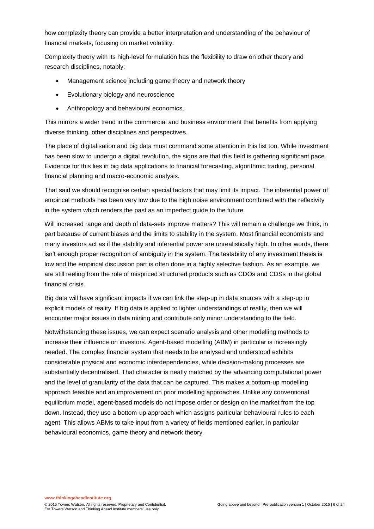how complexity theory can provide a better interpretation and understanding of the behaviour of financial markets, focusing on market volatility.

Complexity theory with its high-level formulation has the flexibility to draw on other theory and research disciplines, notably:

- Management science including game theory and network theory
- Evolutionary biology and neuroscience
- Anthropology and behavioural economics.

This mirrors a wider trend in the commercial and business environment that benefits from applying diverse thinking, other disciplines and perspectives.

The place of digitalisation and big data must command some attention in this list too. While investment has been slow to undergo a digital revolution, the signs are that this field is gathering significant pace. Evidence for this lies in big data applications to financial forecasting, algorithmic trading, personal financial planning and macro-economic analysis.

That said we should recognise certain special factors that may limit its impact. The inferential power of empirical methods has been very low due to the high noise environment combined with the reflexivity in the system which renders the past as an imperfect guide to the future.

Will increased range and depth of data-sets improve matters? This will remain a challenge we think, in part because of current biases and the limits to stability in the system. Most financial economists and many investors act as if the stability and inferential power are unrealistically high. In other words, there isn't enough proper recognition of ambiguity in the system. The testability of any investment thesis is low and the empirical discussion part is often done in a highly selective fashion. As an example, we are still reeling from the role of mispriced structured products such as CDOs and CDSs in the global financial crisis.

Big data will have significant impacts if we can link the step-up in data sources with a step-up in explicit models of reality. If big data is applied to lighter understandings of reality, then we will encounter major issues in data mining and contribute only minor understanding to the field.

Notwithstanding these issues, we can expect scenario analysis and other modelling methods to increase their influence on investors. Agent-based modelling (ABM) in particular is increasingly needed. The complex financial system that needs to be analysed and understood exhibits considerable physical and economic interdependencies, while decision-making processes are substantially decentralised. That character is neatly matched by the advancing computational power and the level of granularity of the data that can be captured. This makes a bottom-up modelling approach feasible and an improvement on prior modelling approaches. Unlike any conventional equilibrium model, agent-based models do not impose order or design on the market from the top down. Instead, they use a bottom-up approach which assigns particular behavioural rules to each agent. This allows ABMs to take input from a variety of fields mentioned earlier, in particular behavioural economics, game theory and network theory.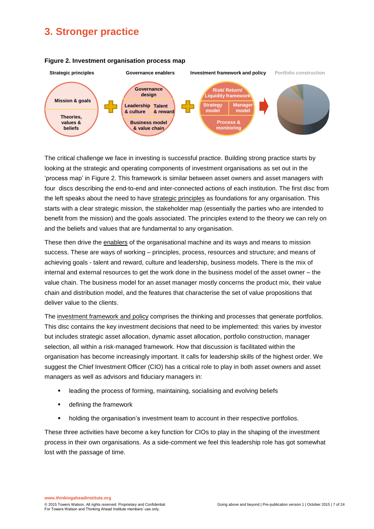# **3. Stronger practice**



#### **Figure 2. Investment organisation process map**

The critical challenge we face in investing is successful practice. Building strong practice starts by looking at the strategic and operating components of investment organisations as set out in the 'process map' in Figure 2. This framework is similar between asset owners and asset managers with four discs describing the end-to-end and inter-connected actions of each institution. The first disc from the left speaks about the need to have strategic principles as foundations for any organisation. This starts with a clear strategic mission, the stakeholder map (essentially the parties who are intended to benefit from the mission) and the goals associated. The principles extend to the theory we can rely on and the beliefs and values that are fundamental to any organisation.

These then drive the enablers of the organisational machine and its ways and means to mission success. These are ways of working – principles, process, resources and structure; and means of achieving goals - talent and reward, culture and leadership, business models. There is the mix of internal and external resources to get the work done in the business model of the asset owner – the value chain. The business model for an asset manager mostly concerns the product mix, their value chain and distribution model, and the features that characterise the set of value propositions that deliver value to the clients.

The investment framework and policy comprises the thinking and processes that generate portfolios. This disc contains the key investment decisions that need to be implemented: this varies by investor but includes strategic asset allocation, dynamic asset allocation, portfolio construction, manager selection, all within a risk-managed framework. How that discussion is facilitated within the organisation has become increasingly important. It calls for leadership skills of the highest order. We suggest the Chief Investment Officer (CIO) has a critical role to play in both asset owners and asset managers as well as advisors and fiduciary managers in:

- leading the process of forming, maintaining, socialising and evolving beliefs
- **defining the framework**
- holding the organisation's investment team to account in their respective portfolios.

These three activities have become a key function for CIOs to play in the shaping of the investment process in their own organisations. As a side-comment we feel this leadership role has got somewhat lost with the passage of time.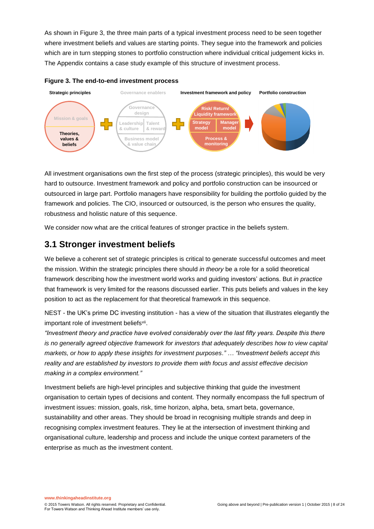As shown in Figure 3, the three main parts of a typical investment process need to be seen together where investment beliefs and values are starting points. They segue into the framework and policies which are in turn stepping stones to portfolio construction where individual critical judgement kicks in. The Appendix contains a case study example of this structure of investment process.



**Figure 3. The end-to-end investment process**

All investment organisations own the first step of the process (strategic principles), this would be very hard to outsource. Investment framework and policy and portfolio construction can be insourced or outsourced in large part. Portfolio managers have responsibility for building the portfolio guided by the framework and policies. The CIO, insourced or outsourced, is the person who ensures the quality, robustness and holistic nature of this sequence.

We consider now what are the critical features of stronger practice in the beliefs system.

# **3.1 Stronger investment beliefs**

We believe a coherent set of strategic principles is critical to generate successful outcomes and meet the mission. Within the strategic principles there should *in theory* be a role for a solid theoretical framework describing how the investment world works and guiding investors' actions. But *in practice* that framework is very limited for the reasons discussed earlier. This puts beliefs and values in the key position to act as the replacement for that theoretical framework in this sequence.

NEST - the UK's prime DC investing institution - has a view of the situation that illustrates elegantly the important role of investment beliefs<sup>vii</sup>.

*"Investment theory and practice have evolved considerably over the last fifty years. Despite this there is no generally agreed objective framework for investors that adequately describes how to view capital markets, or how to apply these insights for investment purposes." … "Investment beliefs accept this reality and are established by investors to provide them with focus and assist effective decision making in a complex environment."*

Investment beliefs are high-level principles and subjective thinking that guide the investment organisation to certain types of decisions and content. They normally encompass the full spectrum of investment issues: mission, goals, risk, time horizon, alpha, beta, smart beta, governance, sustainability and other areas. They should be broad in recognising multiple strands and deep in recognising complex investment features. They lie at the intersection of investment thinking and organisational culture, leadership and process and include the unique context parameters of the enterprise as much as the investment content.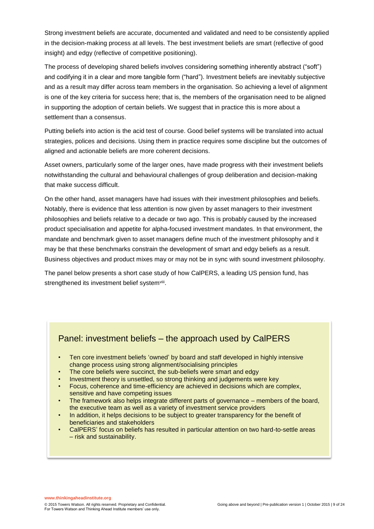Strong investment beliefs are accurate, documented and validated and need to be consistently applied in the decision-making process at all levels. The best investment beliefs are smart (reflective of good insight) and edgy (reflective of competitive positioning).

The process of developing shared beliefs involves considering something inherently abstract ("soft") and codifying it in a clear and more tangible form ("hard"). Investment beliefs are inevitably subjective and as a result may differ across team members in the organisation. So achieving a level of alignment is one of the key criteria for success here; that is, the members of the organisation need to be aligned in supporting the adoption of certain beliefs. We suggest that in practice this is more about a settlement than a consensus.

Putting beliefs into action is the acid test of course. Good belief systems will be translated into actual strategies, polices and decisions. Using them in practice requires some discipline but the outcomes of aligned and actionable beliefs are more coherent decisions.

Asset owners, particularly some of the larger ones, have made progress with their investment beliefs notwithstanding the cultural and behavioural challenges of group deliberation and decision-making that make success difficult.

On the other hand, asset managers have had issues with their investment philosophies and beliefs. Notably, there is evidence that less attention is now given by asset managers to their investment philosophies and beliefs relative to a decade or two ago. This is probably caused by the increased product specialisation and appetite for alpha-focused investment mandates. In that environment, the mandate and benchmark given to asset managers define much of the investment philosophy and it may be that these benchmarks constrain the development of smart and edgy beliefs as a result. Business objectives and product mixes may or may not be in sync with sound investment philosophy.

The panel below presents a short case study of how CalPERS, a leading US pension fund, has strengthened its investment belief system<sup>viii</sup>.

### Panel: investment beliefs – the approach used by CalPERS

- Ten core investment beliefs 'owned' by board and staff developed in highly intensive change process using strong alignment/socialising principles
- The core beliefs were succinct, the sub-beliefs were smart and edgy
- Investment theory is unsettled, so strong thinking and judgements were key
- Focus, coherence and time-efficiency are achieved in decisions which are complex, sensitive and have competing issues
- The framework also helps integrate different parts of governance members of the board, the executive team as well as a variety of investment service providers
- In addition, it helps decisions to be subject to greater transparency for the benefit of beneficiaries and stakeholders
- CalPERS' focus on beliefs has resulted in particular attention on two hard-to-settle areas – risk and sustainability.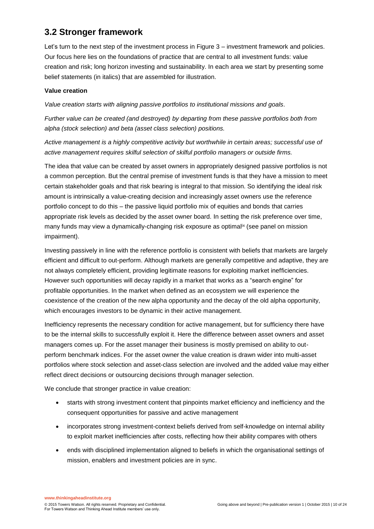# **3.2 Stronger framework**

Let's turn to the next step of the investment process in Figure 3 – investment framework and policies. Our focus here lies on the foundations of practice that are central to all investment funds: value creation and risk; long horizon investing and sustainability. In each area we start by presenting some belief statements (in italics) that are assembled for illustration.

#### **Value creation**

*Value creation starts with aligning passive portfolios to institutional missions and goals.*

*Further value can be created (and destroyed) by departing from these passive portfolios both from alpha (stock selection) and beta (asset class selection) positions.*

*Active management is a highly competitive activity but worthwhile in certain areas; successful use of active management requires skilful selection of skilful portfolio managers or outside firms.*

The idea that value can be created by asset owners in appropriately designed passive portfolios is not a common perception. But the central premise of investment funds is that they have a mission to meet certain stakeholder goals and that risk bearing is integral to that mission. So identifying the ideal risk amount is intrinsically a value-creating decision and increasingly asset owners use the reference portfolio concept to do this – the passive liquid portfolio mix of equities and bonds that carries appropriate risk levels as decided by the asset owner board. In setting the risk preference over time, many funds may view a dynamically-changing risk exposure as optimal<sup>ix</sup> (see panel on mission impairment).

Investing passively in line with the reference portfolio is consistent with beliefs that markets are largely efficient and difficult to out-perform. Although markets are generally competitive and adaptive, they are not always completely efficient, providing legitimate reasons for exploiting market inefficiencies. However such opportunities will decay rapidly in a market that works as a "search engine" for profitable opportunities. In the market when defined as an ecosystem we will experience the coexistence of the creation of the new alpha opportunity and the decay of the old alpha opportunity, which encourages investors to be dynamic in their active management.

Inefficiency represents the necessary condition for active management, but for sufficiency there have to be the internal skills to successfully exploit it. Here the difference between asset owners and asset managers comes up. For the asset manager their business is mostly premised on ability to outperform benchmark indices. For the asset owner the value creation is drawn wider into multi-asset portfolios where stock selection and asset-class selection are involved and the added value may either reflect direct decisions or outsourcing decisions through manager selection.

We conclude that stronger practice in value creation:

- starts with strong investment content that pinpoints market efficiency and inefficiency and the consequent opportunities for passive and active management
- incorporates strong investment-context beliefs derived from self-knowledge on internal ability to exploit market inefficiencies after costs, reflecting how their ability compares with others
- ends with disciplined implementation aligned to beliefs in which the organisational settings of mission, enablers and investment policies are in sync.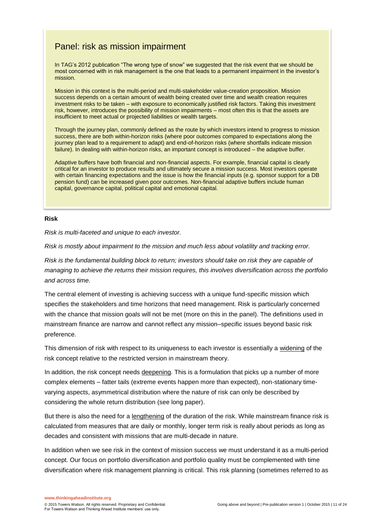### Panel: risk as mission impairment

In TAG's 2012 publication "The wrong type of snow" we suggested that the risk event that we should be most concerned with in risk management is the one that leads to a permanent impairment in the investor's mission.

Mission in this context is the multi-period and multi-stakeholder value-creation proposition. Mission success depends on a certain amount of wealth being created over time and wealth creation requires investment risks to be taken – with exposure to economically justified risk factors. Taking this investment risk, however, introduces the possibility of mission impairments – most often this is that the assets are insufficient to meet actual or projected liabilities or wealth targets.

Through the journey plan, commonly defined as the route by which investors intend to progress to mission success, there are both within-horizon risks (where poor outcomes compared to expectations along the journey plan lead to a requirement to adapt) and end-of-horizon risks (where shortfalls indicate mission failure). In dealing with within-horizon risks, an important concept is introduced – the adaptive buffer.

Adaptive buffers have both financial and non-financial aspects. For example, financial capital is clearly critical for an investor to produce results and ultimately secure a mission success. Most investors operate with certain financing expectations and the issue is how the financial inputs (e.g. sponsor support for a DB pension fund) can be increased given poor outcomes. Non-financial adaptive buffers include human capital, governance capital, political capital and emotional capital.

#### **Risk**

*Risk is multi-faceted and unique to each investor.*

*Risk is mostly about impairment to the mission and much less about volatility and tracking error.*

*Risk is the fundamental building block to return; investors should take on risk they are capable of managing to achieve the returns their mission requires, this involves diversification across the portfolio and across time.*

The central element of investing is achieving success with a unique fund-specific mission which specifies the stakeholders and time horizons that need management. Risk is particularly concerned with the chance that mission goals will not be met (more on this in the panel). The definitions used in mainstream finance are narrow and cannot reflect any mission–specific issues beyond basic risk preference.

This dimension of risk with respect to its uniqueness to each investor is essentially a widening of the risk concept relative to the restricted version in mainstream theory.

In addition, the risk concept needs deepening. This is a formulation that picks up a number of more complex elements – fatter tails (extreme events happen more than expected), non-stationary timevarying aspects, asymmetrical distribution where the nature of risk can only be described by considering the whole return distribution (see long paper).

But there is also the need for a lengthening of the duration of the risk. While mainstream finance risk is calculated from measures that are daily or monthly, longer term risk is really about periods as long as decades and consistent with missions that are multi-decade in nature.

In addition when we see risk in the context of mission success we must understand it as a multi-period concept. Our focus on portfolio diversification and portfolio quality must be complemented with time diversification where risk management planning is critical. This risk planning (sometimes referred to as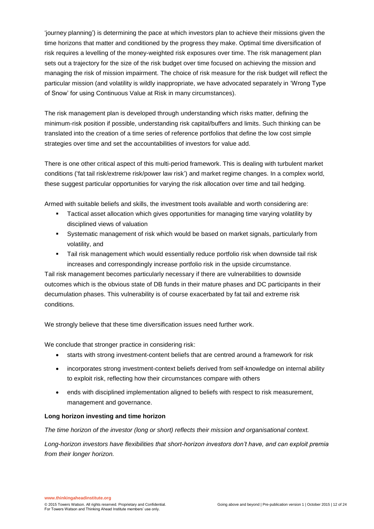'journey planning') is determining the pace at which investors plan to achieve their missions given the time horizons that matter and conditioned by the progress they make. Optimal time diversification of risk requires a levelling of the money-weighted risk exposures over time. The risk management plan sets out a trajectory for the size of the risk budget over time focused on achieving the mission and managing the risk of mission impairment. The choice of risk measure for the risk budget will reflect the particular mission (and volatility is wildly inappropriate, we have advocated separately in 'Wrong Type of Snow' for using Continuous Value at Risk in many circumstances).

The risk management plan is developed through understanding which risks matter, defining the minimum-risk position if possible, understanding risk capital/buffers and limits. Such thinking can be translated into the creation of a time series of reference portfolios that define the low cost simple strategies over time and set the accountabilities of investors for value add.

There is one other critical aspect of this multi-period framework. This is dealing with turbulent market conditions ('fat tail risk/extreme risk/power law risk') and market regime changes. In a complex world, these suggest particular opportunities for varying the risk allocation over time and tail hedging.

Armed with suitable beliefs and skills, the investment tools available and worth considering are:

- **Tactical asset allocation which gives opportunities for managing time varying volatility by** disciplined views of valuation
- Systematic management of risk which would be based on market signals, particularly from volatility, and
- Tail risk management which would essentially reduce portfolio risk when downside tail risk increases and correspondingly increase portfolio risk in the upside circumstance.

Tail risk management becomes particularly necessary if there are vulnerabilities to downside outcomes which is the obvious state of DB funds in their mature phases and DC participants in their decumulation phases. This vulnerability is of course exacerbated by fat tail and extreme risk conditions.

We strongly believe that these time diversification issues need further work.

We conclude that stronger practice in considering risk:

- starts with strong investment-content beliefs that are centred around a framework for risk
- incorporates strong investment-context beliefs derived from self-knowledge on internal ability to exploit risk, reflecting how their circumstances compare with others
- ends with disciplined implementation aligned to beliefs with respect to risk measurement, management and governance.

#### **Long horizon investing and time horizon**

*The time horizon of the investor (long or short) reflects their mission and organisational context.*

*Long-horizon investors have flexibilities that short-horizon investors don't have, and can exploit premia from their longer horizon.*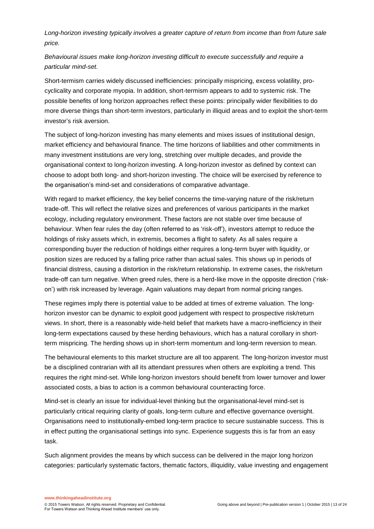*Long-horizon investing typically involves a greater capture of return from income than from future sale price.*

### *Behavioural issues make long-horizon investing difficult to execute successfully and require a particular mind-set.*

Short-termism carries widely discussed inefficiencies: principally mispricing, excess volatility, procyclicality and corporate myopia. In addition, short-termism appears to add to systemic risk. The possible benefits of long horizon approaches reflect these points: principally wider flexibilities to do more diverse things than short-term investors, particularly in illiquid areas and to exploit the short-term investor's risk aversion.

The subject of long-horizon investing has many elements and mixes issues of institutional design, market efficiency and behavioural finance. The time horizons of liabilities and other commitments in many investment institutions are very long, stretching over multiple decades, and provide the organisational context to long-horizon investing. A long-horizon investor as defined by context can choose to adopt both long- and short-horizon investing. The choice will be exercised by reference to the organisation's mind-set and considerations of comparative advantage.

With regard to market efficiency, the key belief concerns the time-varying nature of the risk/return trade-off. This will reflect the relative sizes and preferences of various participants in the market ecology, including regulatory environment. These factors are not stable over time because of behaviour. When fear rules the day (often referred to as 'risk-off'), investors attempt to reduce the holdings of risky assets which, in extremis, becomes a flight to safety. As all sales require a corresponding buyer the reduction of holdings either requires a long-term buyer with liquidity, or position sizes are reduced by a falling price rather than actual sales. This shows up in periods of financial distress, causing a distortion in the risk/return relationship. In extreme cases, the risk/return trade-off can turn negative. When greed rules, there is a herd-like move in the opposite direction ('riskon') with risk increased by leverage. Again valuations may depart from normal pricing ranges.

These regimes imply there is potential value to be added at times of extreme valuation. The longhorizon investor can be dynamic to exploit good judgement with respect to prospective risk/return views. In short, there is a reasonably wide-held belief that markets have a macro-inefficiency in their long-term expectations caused by these herding behaviours, which has a natural corollary in shortterm mispricing. The herding shows up in short-term momentum and long-term reversion to mean.

The behavioural elements to this market structure are all too apparent. The long-horizon investor must be a disciplined contrarian with all its attendant pressures when others are exploiting a trend. This requires the right mind-set. While long-horizon investors should benefit from lower turnover and lower associated costs, a bias to action is a common behavioural counteracting force.

Mind-set is clearly an issue for individual-level thinking but the organisational-level mind-set is particularly critical requiring clarity of goals, long-term culture and effective governance oversight. Organisations need to institutionally-embed long-term practice to secure sustainable success. This is in effect putting the organisational settings into sync. Experience suggests this is far from an easy task.

Such alignment provides the means by which success can be delivered in the major long horizon categories: particularly systematic factors, thematic factors, illiquidity, value investing and engagement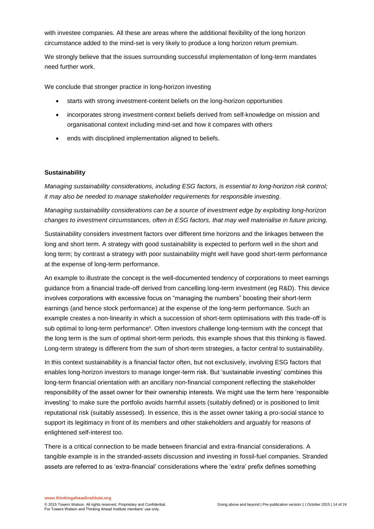with investee companies. All these are areas where the additional flexibility of the long horizon circumstance added to the mind-set is very likely to produce a long horizon return premium.

We strongly believe that the issues surrounding successful implementation of long-term mandates need further work.

We conclude that stronger practice in long-horizon investing

- starts with strong investment-content beliefs on the long-horizon opportunities
- incorporates strong investment-context beliefs derived from self-knowledge on mission and organisational context including mind-set and how it compares with others
- ends with disciplined implementation aligned to beliefs.

#### **Sustainability**

*Managing sustainability considerations, including ESG factors, is essential to long-horizon risk control; it may also be needed to manage stakeholder requirements for responsible investing.*

*Managing sustainability considerations can be a source of investment edge by exploiting long-horizon changes to investment circumstances, often in ESG factors, that may well materialise in future pricing.*

Sustainability considers investment factors over different time horizons and the linkages between the long and short term. A strategy with good sustainability is expected to perform well in the short and long term; by contrast a strategy with poor sustainability might well have good short-term performance at the expense of long-term performance.

An example to illustrate the concept is the well-documented tendency of corporations to meet earnings guidance from a financial trade-off derived from cancelling long-term investment (eg R&D). This device involves corporations with excessive focus on "managing the numbers" boosting their short-term earnings (and hence stock performance) at the expense of the long-term performance. Such an example creates a non-linearity in which a succession of short-term optimisations with this trade-off is sub optimal to long-term performance<sup>x</sup>. Often investors challenge long-termism with the concept that the long term is the sum of optimal short-term periods, this example shows that this thinking is flawed. Long-term strategy is different from the sum of short-term strategies, a factor central to sustainability.

In this context sustainability is a financial factor often, but not exclusively, involving ESG factors that enables long-horizon investors to manage longer-term risk. But 'sustainable investing' combines this long-term financial orientation with an ancillary non-financial component reflecting the stakeholder responsibility of the asset owner for their ownership interests. We might use the term here 'responsible investing' to make sure the portfolio avoids harmful assets (suitably defined) or is positioned to limit reputational risk (suitably assessed). In essence, this is the asset owner taking a pro-social stance to support its legitimacy in front of its members and other stakeholders and arguably for reasons of enlightened self-interest too.

There is a critical connection to be made between financial and extra-financial considerations. A tangible example is in the stranded-assets discussion and investing in fossil-fuel companies. Stranded assets are referred to as 'extra-financial' considerations where the 'extra' prefix defines something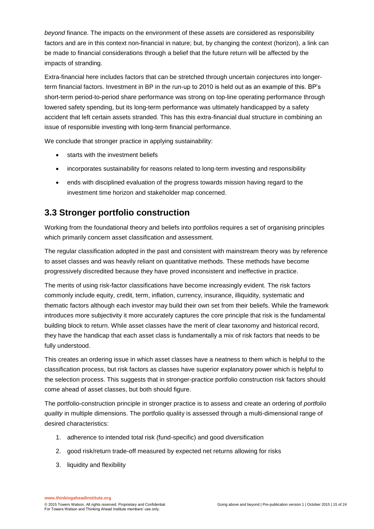*beyond* finance. The impacts on the environment of these assets are considered as responsibility factors and are in this context non-financial in nature; but, by changing the context (horizon), a link can be made to financial considerations through a belief that the future return will be affected by the impacts of stranding.

Extra-financial here includes factors that can be stretched through uncertain conjectures into longerterm financial factors. Investment in BP in the run-up to 2010 is held out as an example of this. BP's short-term period-to-period share performance was strong on top-line operating performance through lowered safety spending, but its long-term performance was ultimately handicapped by a safety accident that left certain assets stranded. This has this extra-financial dual structure in combining an issue of responsible investing with long-term financial performance.

We conclude that stronger practice in applying sustainability:

- starts with the investment beliefs
- incorporates sustainability for reasons related to long-term investing and responsibility
- ends with disciplined evaluation of the progress towards mission having regard to the investment time horizon and stakeholder map concerned.

# **3.3 Stronger portfolio construction**

Working from the foundational theory and beliefs into portfolios requires a set of organising principles which primarily concern asset classification and assessment.

The regular classification adopted in the past and consistent with mainstream theory was by reference to asset classes and was heavily reliant on quantitative methods. These methods have become progressively discredited because they have proved inconsistent and ineffective in practice.

The merits of using risk-factor classifications have become increasingly evident. The risk factors commonly include equity, credit, term, inflation, currency, insurance, illiquidity, systematic and thematic factors although each investor may build their own set from their beliefs. While the framework introduces more subjectivity it more accurately captures the core principle that risk is the fundamental building block to return. While asset classes have the merit of clear taxonomy and historical record, they have the handicap that each asset class is fundamentally a mix of risk factors that needs to be fully understood.

This creates an ordering issue in which asset classes have a neatness to them which is helpful to the classification process, but risk factors as classes have superior explanatory power which is helpful to the selection process. This suggests that in stronger-practice portfolio construction risk factors should come ahead of asset classes, but both should figure.

The portfolio-construction principle in stronger practice is to assess and create an ordering of *portfolio quality* in multiple dimensions. The portfolio quality is assessed through a multi-dimensional range of desired characteristics:

- 1. adherence to intended total risk (fund-specific) and good diversification
- 2. good risk/return trade-off measured by expected net returns allowing for risks
- 3. liquidity and flexibility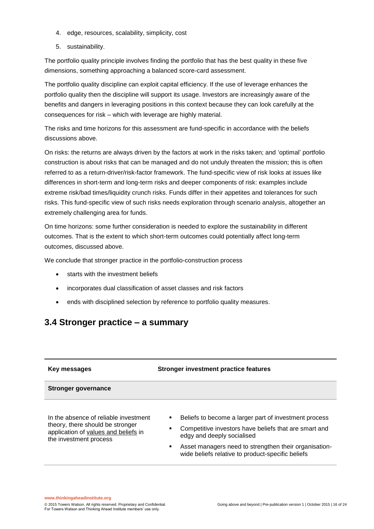- 4. edge, resources, scalability, simplicity, cost
- 5. sustainability.

The portfolio quality principle involves finding the portfolio that has the best quality in these five dimensions, something approaching a balanced score-card assessment.

The portfolio quality discipline can exploit capital efficiency. If the use of leverage enhances the portfolio quality then the discipline will support its usage. Investors are increasingly aware of the benefits and dangers in leveraging positions in this context because they can look carefully at the consequences for risk – which with leverage are highly material.

The risks and time horizons for this assessment are fund-specific in accordance with the beliefs discussions above.

On risks: the returns are always driven by the factors at work in the risks taken; and 'optimal' portfolio construction is about risks that can be managed and do not unduly threaten the mission; this is often referred to as a return-driver/risk-factor framework. The fund-specific view of risk looks at issues like differences in short-term and long-term risks and deeper components of risk: examples include extreme risk/bad times/liquidity crunch risks. Funds differ in their appetites and tolerances for such risks. This fund-specific view of such risks needs exploration through scenario analysis, altogether an extremely challenging area for funds.

On time horizons: some further consideration is needed to explore the sustainability in different outcomes. That is the extent to which short-term outcomes could potentially affect long-term outcomes, discussed above.

We conclude that stronger practice in the portfolio-construction process

- starts with the investment beliefs
- incorporates dual classification of asset classes and risk factors
- ends with disciplined selection by reference to portfolio quality measures.

### **3.4 Stronger practice – a summary**

| Key messages                                                                                                                                | <b>Stronger investment practice features</b>                                                                                                                                                                                                                         |
|---------------------------------------------------------------------------------------------------------------------------------------------|----------------------------------------------------------------------------------------------------------------------------------------------------------------------------------------------------------------------------------------------------------------------|
| <b>Stronger governance</b>                                                                                                                  |                                                                                                                                                                                                                                                                      |
| In the absence of reliable investment<br>theory, there should be stronger<br>application of values and beliefs in<br>the investment process | Beliefs to become a larger part of investment process<br>٠<br>Competitive investors have beliefs that are smart and<br>edgy and deeply socialised<br>Asset managers need to strengthen their organisation-<br>٠<br>wide beliefs relative to product-specific beliefs |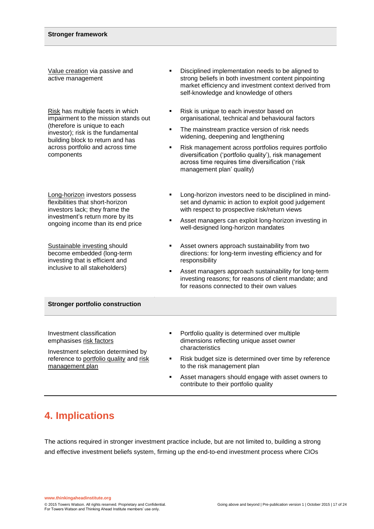Value creation via passive and active management

Risk has multiple facets in which impairment to the mission stands out (therefore is unique to each investor); risk is the fundamental building block to return and has across portfolio and across time components

Long-horizon investors possess flexibilities that short-horizon investors lack; they frame the investment's return more by its ongoing income than its end price

Sustainable investing should become embedded (long-term investing that is efficient and inclusive to all stakeholders)

- Disciplined implementation needs to be aligned to strong beliefs in both investment content pinpointing market efficiency and investment context derived from self-knowledge and knowledge of others
- Risk is unique to each investor based on organisational, technical and behavioural factors
- The mainstream practice version of risk needs widening, deepening and lengthening
- Risk management across portfolios requires portfolio diversification ('portfolio quality'), risk management across time requires time diversification ('risk management plan' quality)
- **EXECUTE:** Long-horizon investors need to be disciplined in mindset and dynamic in action to exploit good judgement with respect to prospective risk/return views
- Asset managers can exploit long-horizon investing in well-designed long-horizon mandates
- Asset owners approach sustainability from two directions: for long-term investing efficiency and for responsibility
- Asset managers approach sustainability for long-term investing reasons; for reasons of client mandate; and for reasons connected to their own values

#### **Stronger portfolio construction**

Investment classification emphasises risk factors

Investment selection determined by reference to portfolio quality and risk management plan

- Portfolio quality is determined over multiple dimensions reflecting unique asset owner characteristics
- Risk budget size is determined over time by reference to the risk management plan
- Asset managers should engage with asset owners to contribute to their portfolio quality

# **4. Implications**

The actions required in stronger investment practice include, but are not limited to, building a strong and effective investment beliefs system, firming up the end-to-end investment process where CIOs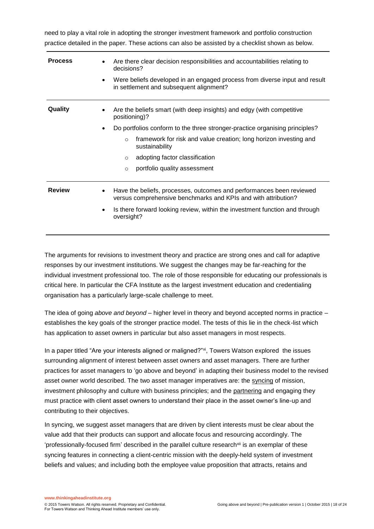need to play a vital role in adopting the stronger investment framework and portfolio construction practice detailed in the paper. These actions can also be assisted by a checklist shown as below.

| <b>Process</b> | Are there clear decision responsibilities and accountabilities relating to<br>decisions?<br>Were beliefs developed in an engaged process from diverse input and result<br>in settlement and subsequent alignment?                                                                                                                                                     |
|----------------|-----------------------------------------------------------------------------------------------------------------------------------------------------------------------------------------------------------------------------------------------------------------------------------------------------------------------------------------------------------------------|
| Quality        | Are the beliefs smart (with deep insights) and edgy (with competitive<br>positioning)?<br>Do portfolios conform to the three stronger-practice organising principles?<br>٠<br>framework for risk and value creation; long horizon investing and<br>$\Omega$<br>sustainability<br>adopting factor classification<br>$\circ$<br>portfolio quality assessment<br>$\circ$ |
| <b>Review</b>  | Have the beliefs, processes, outcomes and performances been reviewed<br>versus comprehensive benchmarks and KPIs and with attribution?<br>Is there forward looking review, within the investment function and through<br>٠<br>oversight?                                                                                                                              |

The arguments for revisions to investment theory and practice are strong ones and call for adaptive responses by our investment institutions. We suggest the changes may be far-reaching for the individual investment professional too. The role of those responsible for educating our professionals is critical here. In particular the CFA Institute as the largest investment education and credentialing organisation has a particularly large-scale challenge to meet.

The idea of going *above and beyond* – higher level in theory and beyond accepted norms in practice – establishes the key goals of the stronger practice model. The tests of this lie in the check-list which has application to asset owners in particular but also asset managers in most respects.

In a paper titled "Are your interests aligned or maligned?" $\dot{x}$ , Towers Watson explored the issues surrounding alignment of interest between asset owners and asset managers. There are further practices for asset managers to 'go above and beyond' in adapting their business model to the revised asset owner world described. The two asset manager imperatives are: the syncing of mission, investment philosophy and culture with business principles; and the partnering and engaging they must practice with client asset owners to understand their place in the asset owner's line-up and contributing to their objectives.

In syncing, we suggest asset managers that are driven by client interests must be clear about the value add that their products can support and allocate focus and resourcing accordingly. The 'professionally-focused firm' described in the parallel culture research<sup>xii</sup> is an exemplar of these syncing features in connecting a client-centric mission with the deeply-held system of investment beliefs and values; and including both the employee value proposition that attracts, retains and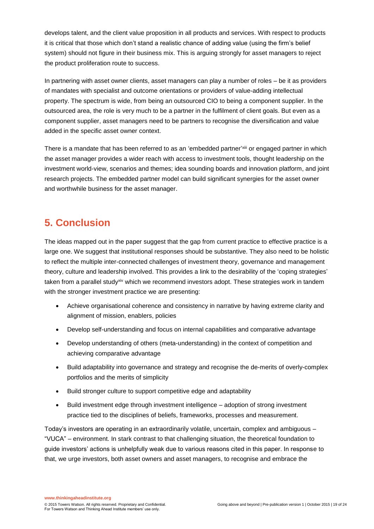develops talent, and the client value proposition in all products and services. With respect to products it is critical that those which don't stand a realistic chance of adding value (using the firm's belief system) should not figure in their business mix. This is arguing strongly for asset managers to reject the product proliferation route to success.

In partnering with asset owner clients, asset managers can play a number of roles – be it as providers of mandates with specialist and outcome orientations or providers of value-adding intellectual property. The spectrum is wide, from being an outsourced CIO to being a component supplier. In the outsourced area, the role is very much to be a partner in the fulfilment of client goals. But even as a component supplier, asset managers need to be partners to recognise the diversification and value added in the specific asset owner context.

There is a mandate that has been referred to as an 'embedded partner'<sup>xiii</sup> or engaged partner in which the asset manager provides a wider reach with access to investment tools, thought leadership on the investment world-view, scenarios and themes; idea sounding boards and innovation platform, and joint research projects. The embedded partner model can build significant synergies for the asset owner and worthwhile business for the asset manager.

# **5. Conclusion**

The ideas mapped out in the paper suggest that the gap from current practice to effective practice is a large one. We suggest that institutional responses should be substantive. They also need to be holistic to reflect the multiple inter-connected challenges of investment theory, governance and management theory, culture and leadership involved. This provides a link to the desirability of the 'coping strategies' taken from a parallel study<sup>xiv</sup> which we recommend investors adopt. These strategies work in tandem with the stronger investment practice we are presenting:

- Achieve organisational coherence and consistency in narrative by having extreme clarity and alignment of mission, enablers, policies
- Develop self-understanding and focus on internal capabilities and comparative advantage
- Develop understanding of others (meta-understanding) in the context of competition and achieving comparative advantage
- Build adaptability into governance and strategy and recognise the de-merits of overly-complex portfolios and the merits of simplicity
- Build stronger culture to support competitive edge and adaptability
- Build investment edge through investment intelligence adoption of strong investment practice tied to the disciplines of beliefs, frameworks, processes and measurement.

Today's investors are operating in an extraordinarily volatile, uncertain, complex and ambiguous – "VUCA" – environment. In stark contrast to that challenging situation, the theoretical foundation to guide investors' actions is unhelpfully weak due to various reasons cited in this paper. In response to that, we urge investors, both asset owners and asset managers, to recognise and embrace the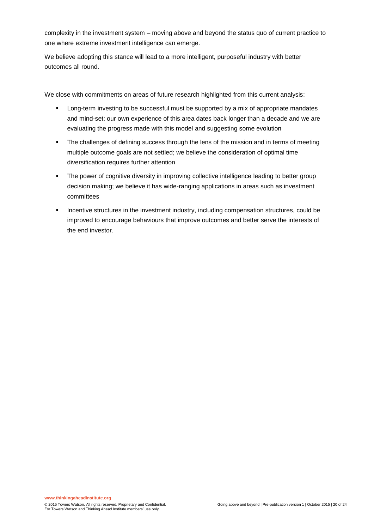complexity in the investment system – moving above and beyond the status quo of current practice to one where extreme investment intelligence can emerge.

We believe adopting this stance will lead to a more intelligent, purposeful industry with better outcomes all round.

We close with commitments on areas of future research highlighted from this current analysis:

- **EXECT** Long-term investing to be successful must be supported by a mix of appropriate mandates and mind-set; our own experience of this area dates back longer than a decade and we are evaluating the progress made with this model and suggesting some evolution
- The challenges of defining success through the lens of the mission and in terms of meeting multiple outcome goals are not settled; we believe the consideration of optimal time diversification requires further attention
- **The power of cognitive diversity in improving collective intelligence leading to better group** decision making; we believe it has wide-ranging applications in areas such as investment committees
- **Incentive structures in the investment industry, including compensation structures, could be** improved to encourage behaviours that improve outcomes and better serve the interests of the end investor.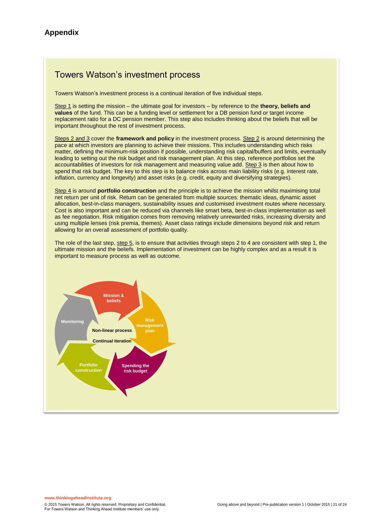### Towers Watson's investment process

Towers Watson's investment process is a continual iteration of five individual steps.

Step 1 is setting the mission – the ultimate goal for investors – by reference to the **theory, beliefs and values** of the fund. This can be a funding level or settlement for a DB pension fund or target income replacement ratio for a DC pension member. This step also includes thinking about the beliefs that will be important throughout the rest of investment process.

Steps 2 and 3 cover the **framework and policy** in the investment process. Step 2 is around determining the pace at which investors are planning to achieve their missions. This includes understanding which risks matter, defining the minimum-risk position if possible, understanding risk capital/buffers and limits, eventually leading to setting out the risk budget and risk management plan. At this step, reference portfolios set the accountabilities of investors for risk management and measuring value add. Step 3 is then about how to spend that risk budget. The key to this step is to balance risks across main liability risks (e.g. interest rate, inflation, currency and longevity) and asset risks (e.g. credit, equity and diversifying strategies).

Step 4 is around **portfolio construction** and the principle is to achieve the mission whilst maximising total net return per unit of risk. Return can be generated from multiple sources: thematic ideas, dynamic asset allocation, best-in-class managers, sustainability issues and customised investment routes where necessary. Cost is also important and can be reduced via channels like smart beta, best-in-class implementation as well as fee negotiation. Risk mitigation comes from removing relatively unrewarded risks, increasing diversity and using multiple lenses (risk premia, themes). Asset class ratings include dimensions beyond risk and return allowing for an overall assessment of portfolio quality.

The role of the last step, step 5, is to ensure that activities through steps 2 to 4 are consistent with step 1, the ultimate mission and the beliefs. Implementation of investment can be highly complex and as a result it is important to measure process as well as outcome.

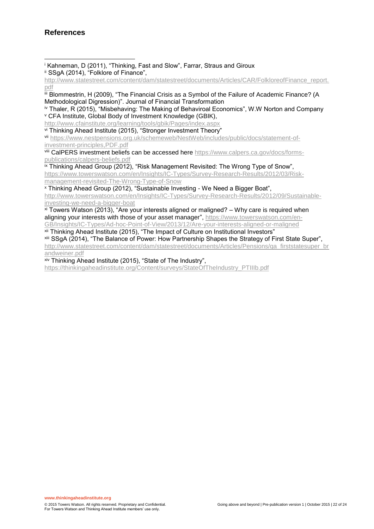<sup>i</sup> Kahneman, D (2011), "Thinking, Fast and Slow", Farrar, Straus and Giroux ii SSgA (2014), "Folklore of Finance", l

iii Blommestrin, H (2009), "The Financial Crisis as a Symbol of the Failure of Academic Finance? (A Methodological Digression)". Journal of Financial Transformation

<sup>iv</sup> Thaler, R (2015), "Misbehaving: The Making of Behaviroal Economics", W.W Norton and Company <sup>v</sup> CFA Institute, Global Body of Investment Knowledge (GBIK),

<http://www.cfainstitute.org/learning/tools/gbik/Pages/index.aspx>

vi Thinking Ahead Institute (2015), "Stronger Investment Theory"

vii [https://www.nestpensions.org.uk/schemeweb/NestWeb/includes/public/docs/statement-of](https://www.nestpensions.org.uk/schemeweb/NestWeb/includes/public/docs/statement-of-investment-principles,PDF.pdf)[investment-principles,PDF.pdf](https://www.nestpensions.org.uk/schemeweb/NestWeb/includes/public/docs/statement-of-investment-principles,PDF.pdf)

viii CalPERS investment beliefs can be accessed her[e https://www.calpers.ca.gov/docs/forms](https://www.calpers.ca.gov/docs/forms-publications/calpers-beliefs.pdf)[publications/calpers-beliefs.pdf](https://www.calpers.ca.gov/docs/forms-publications/calpers-beliefs.pdf)

ix Thinking Ahead Group (2012), "Risk Management Revisited: The Wrong Type of Snow", [https://www.towerswatson.com/en/Insights/IC-Types/Survey-Research-Results/2012/03/Risk](https://www.towerswatson.com/en/Insights/IC-Types/Survey-Research-Results/2012/03/Risk-management-revisited-The-Wrong-Type-of-Snow)[management-revisited-The-Wrong-Type-of-Snow](https://www.towerswatson.com/en/Insights/IC-Types/Survey-Research-Results/2012/03/Risk-management-revisited-The-Wrong-Type-of-Snow)

<sup>x</sup> Thinking Ahead Group (2012), "Sustainable Investing - We Need a Bigger Boat",

[http://www.towerswatson.com/en/Insights/IC-Types/Survey-Research-Results/2012/09/Sustainable](http://www.towerswatson.com/en/Insights/IC-Types/Survey-Research-Results/2012/09/Sustainable-investing-we-need-a-bigger-boat)[investing-we-need-a-bigger-boat](http://www.towerswatson.com/en/Insights/IC-Types/Survey-Research-Results/2012/09/Sustainable-investing-we-need-a-bigger-boat)

 $x<sup>i</sup>$  Towers Watson (2013), "Are your interests aligned or maligned? – Why care is required when aligning your interests with those of your asset manager", [https://www.towerswatson.com/en-](https://www.towerswatson.com/en-GB/Insights/IC-Types/Ad-hoc-Point-of-View/2013/12/Are-your-interests-aligned-or-maligned)[GB/Insights/IC-Types/Ad-hoc-Point-of-View/2013/12/Are-your-interests-aligned-or-maligned](https://www.towerswatson.com/en-GB/Insights/IC-Types/Ad-hoc-Point-of-View/2013/12/Are-your-interests-aligned-or-maligned)

xii Thinking Ahead Institute (2015), "The Impact of Culture on Institutional Investors" xiii SSgA (2014), "The Balance of Power: How Partnership Shapes the Strategy of First State Super",

[http://www.statestreet.com/content/dam/statestreet/documents/Articles/Pensions/qa\\_firststatesuper\\_br](http://www.statestreet.com/content/dam/statestreet/documents/Articles/Pensions/qa_firststatesuper_brandweiner.pdf) [andweiner.pdf](http://www.statestreet.com/content/dam/statestreet/documents/Articles/Pensions/qa_firststatesuper_brandweiner.pdf)

 $xiv$  Thinking Ahead Institute (2015), "State of The Industry",

https://thinkingaheadinstitute.org/Content/surveys/StateOfTheIndustry\_PTIIIb.pdf

[http://www.statestreet.com/content/dam/statestreet/documents/Articles/CAR/FolkloreofFinance\\_report.](http://www.statestreet.com/content/dam/statestreet/documents/Articles/CAR/FolkloreofFinance_report.pdf) [pdf](http://www.statestreet.com/content/dam/statestreet/documents/Articles/CAR/FolkloreofFinance_report.pdf)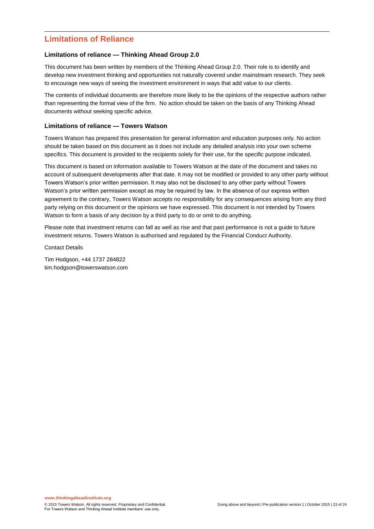### **Limitations of Reliance**

l

#### **Limitations of reliance — Thinking Ahead Group 2.0**

This document has been written by members of the Thinking Ahead Group 2.0. Their role is to identify and develop new investment thinking and opportunities not naturally covered under mainstream research. They seek to encourage new ways of seeing the investment environment in ways that add value to our clients.

The contents of individual documents are therefore more likely to be the opinions of the respective authors rather than representing the formal view of the firm. No action should be taken on the basis of any Thinking Ahead documents without seeking specific advice.

#### **Limitations of reliance — Towers Watson**

Towers Watson has prepared this presentation for general information and education purposes only. No action should be taken based on this document as it does not include any detailed analysis into your own scheme specifics. This document is provided to the recipients solely for their use, for the specific purpose indicated.

This document is based on information available to Towers Watson at the date of the document and takes no account of subsequent developments after that date. It may not be modified or provided to any other party without Towers Watson's prior written permission. It may also not be disclosed to any other party without Towers Watson's prior written permission except as may be required by law. In the absence of our express written agreement to the contrary, Towers Watson accepts no responsibility for any consequences arising from any third party relying on this document or the opinions we have expressed. This document is not intended by Towers Watson to form a basis of any decision by a third party to do or omit to do anything.

Please note that investment returns can fall as well as rise and that past performance is not a guide to future investment returns. Towers Watson is authorised and regulated by the Financial Conduct Authority.

Contact Details

Tim Hodgson, +44 1737 284822 tim.hodgson@towerswatson.com